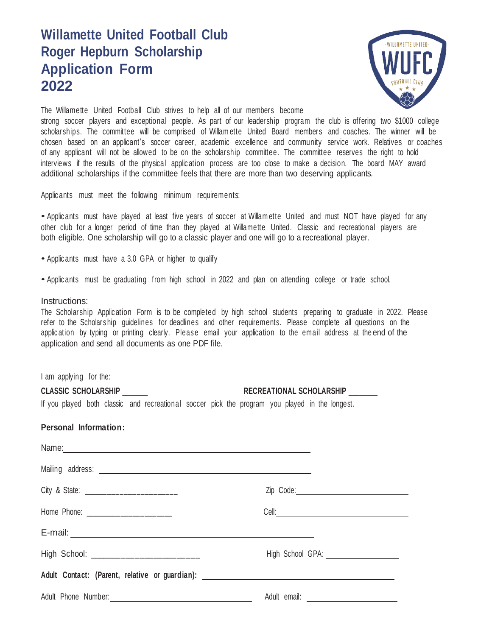## **Willamette United Football Club Roger Hepburn Scholarship Application Form 2022**



The Willamette United Football Club strives to help all of our members become

strong soccer players and exceptional people. As part of our leadership program the club is offering two \$1000 college scholarships. The committee will be comprised of Willam ette United Board members and coaches. The winner will be chosen based on an applicant's soccer career, academic excellence and community service work. Relatives or coaches of any applicant will not be allowed to be on the scholarship committee. The committee reserves the right to hold interviews if the results of the physical applic ation process are too close to make a decision. The board MAY award additional scholarships if the committee feels that there are more than two deserving applicants.

Applic ants must meet the following minimum requirements:

• Applic ants must have played at least five years of soccer at Willam ette United and must NOT have played for any other club for a longer period of time than they played at Willamette United. Classic and recreational players are both eligible. One scholarship will go to a classic player and one will go to a recreational player.

- Applic ants must have <sup>a</sup> 3.0 GPA or higher to qualify
- Applic ants must be graduating from high school in <sup>2022</sup> and plan on attending college or trade school.

## Instructions:

The Scholarship Applic ation Form is to be completed by high school students preparing to graduate in 2022. Please refer to the Scholars hip guidelines for deadlines and other requirements. Please complete all questions on the application by typing or printing clearly. Please email your application to the email address at the end of the application and send all documents as one PDF file.

I am applying for the:

| <b>CLASSIC SCHOLARSHIP</b>                                                                     |  |  |  |  | <b>RECREATIONAL SCHOLARSHIP</b> |  |  |  |  |  |  |  |  |
|------------------------------------------------------------------------------------------------|--|--|--|--|---------------------------------|--|--|--|--|--|--|--|--|
| If you played both classic and recreational soccer pick the program you played in the longest. |  |  |  |  |                                 |  |  |  |  |  |  |  |  |

## **Personal Information:**

| Name: Name: Name: Name: Name: Name: Name: Name: Name: Name: Name: Name: Name: Name: Name: Name: Name: Name: Name: Name: Name: Name: Name: Name: Name: Name: Name: Name: Name: Name: Name: Name: Name: Name: Name: Name: Name: |  |
|-------------------------------------------------------------------------------------------------------------------------------------------------------------------------------------------------------------------------------|--|
|                                                                                                                                                                                                                               |  |
|                                                                                                                                                                                                                               |  |
| Home Phone: ______________________                                                                                                                                                                                            |  |
|                                                                                                                                                                                                                               |  |
| High School: ____________________________                                                                                                                                                                                     |  |
|                                                                                                                                                                                                                               |  |
|                                                                                                                                                                                                                               |  |